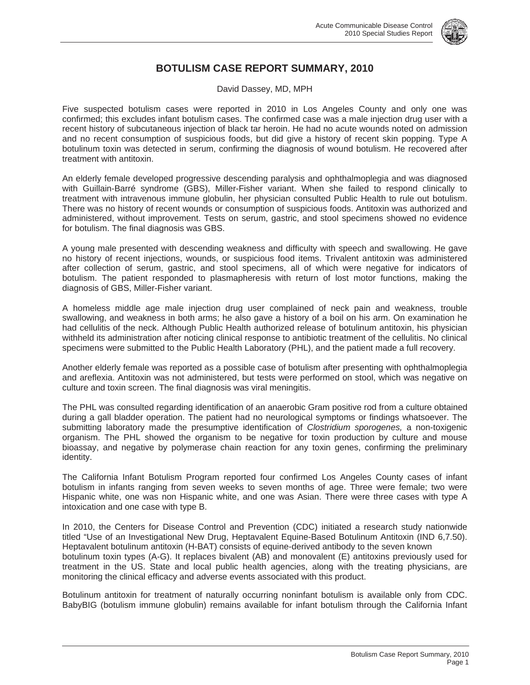

## **BOTULISM CASE REPORT SUMMARY, 2010**

David Dassey, MD, MPH

Five suspected botulism cases were reported in 2010 in Los Angeles County and only one was confirmed; this excludes infant botulism cases. The confirmed case was a male injection drug user with a recent history of subcutaneous injection of black tar heroin. He had no acute wounds noted on admission and no recent consumption of suspicious foods, but did give a history of recent skin popping. Type A botulinum toxin was detected in serum, confirming the diagnosis of wound botulism. He recovered after treatment with antitoxin.

An elderly female developed progressive descending paralysis and ophthalmoplegia and was diagnosed with Guillain-Barré syndrome (GBS), Miller-Fisher variant. When she failed to respond clinically to treatment with intravenous immune globulin, her physician consulted Public Health to rule out botulism. There was no history of recent wounds or consumption of suspicious foods. Antitoxin was authorized and administered, without improvement. Tests on serum, gastric, and stool specimens showed no evidence for botulism. The final diagnosis was GBS.

A young male presented with descending weakness and difficulty with speech and swallowing. He gave no history of recent injections, wounds, or suspicious food items. Trivalent antitoxin was administered after collection of serum, gastric, and stool specimens, all of which were negative for indicators of botulism. The patient responded to plasmapheresis with return of lost motor functions, making the diagnosis of GBS, Miller-Fisher variant.

A homeless middle age male injection drug user complained of neck pain and weakness, trouble swallowing, and weakness in both arms; he also gave a history of a boil on his arm. On examination he had cellulitis of the neck. Although Public Health authorized release of botulinum antitoxin, his physician withheld its administration after noticing clinical response to antibiotic treatment of the cellulitis. No clinical specimens were submitted to the Public Health Laboratory (PHL), and the patient made a full recovery.

Another elderly female was reported as a possible case of botulism after presenting with ophthalmoplegia and areflexia. Antitoxin was not administered, but tests were performed on stool, which was negative on culture and toxin screen. The final diagnosis was viral meningitis.

The PHL was consulted regarding identification of an anaerobic Gram positive rod from a culture obtained during a gall bladder operation. The patient had no neurological symptoms or findings whatsoever. The submitting laboratory made the presumptive identification of *Clostridium sporogenes,* a non-toxigenic organism. The PHL showed the organism to be negative for toxin production by culture and mouse bioassay, and negative by polymerase chain reaction for any toxin genes, confirming the preliminary identity.

The California Infant Botulism Program reported four confirmed Los Angeles County cases of infant botulism in infants ranging from seven weeks to seven months of age. Three were female; two were Hispanic white, one was non Hispanic white, and one was Asian. There were three cases with type A intoxication and one case with type B.

In 2010, the Centers for Disease Control and Prevention (CDC) initiated a research study nationwide titled "Use of an Investigational New Drug, Heptavalent Equine-Based Botulinum Antitoxin (IND 6,7.50). Heptavalent botulinum antitoxin (H-BAT) consists of equine-derived antibody to the seven known botulinum toxin types (A-G). It replaces bivalent (AB) and monovalent (E) antitoxins previously used for treatment in the US. State and local public health agencies, along with the treating physicians, are monitoring the clinical efficacy and adverse events associated with this product.

Botulinum antitoxin for treatment of naturally occurring noninfant botulism is available only from CDC. BabyBIG (botulism immune globulin) remains available for infant botulism through the California Infant